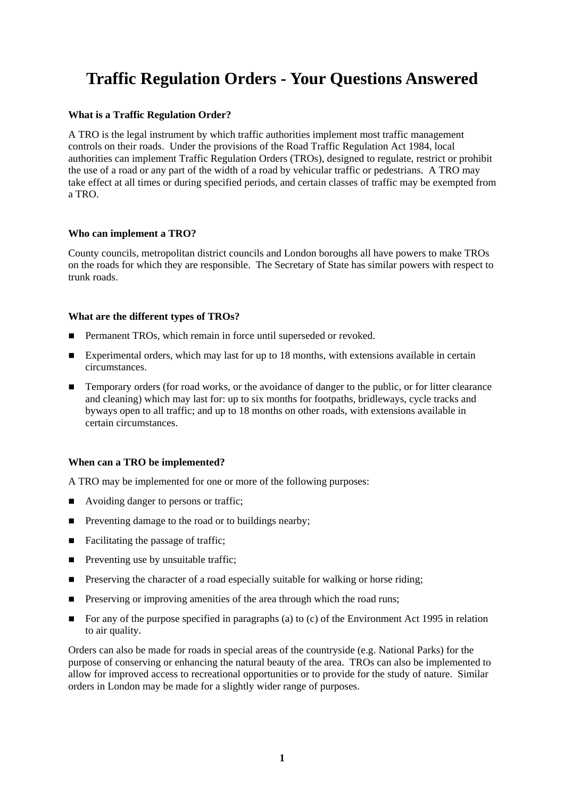# **Traffic Regulation Orders - Your Questions Answered**

### **What is a Traffic Regulation Order?**

A TRO is the legal instrument by which traffic authorities implement most traffic management controls on their roads. Under the provisions of the Road Traffic Regulation Act 1984, local authorities can implement Traffic Regulation Orders (TROs), designed to regulate, restrict or prohibit the use of a road or any part of the width of a road by vehicular traffic or pedestrians. A TRO may take effect at all times or during specified periods, and certain classes of traffic may be exempted from a TRO.

### **Who can implement a TRO?**

County councils, metropolitan district councils and London boroughs all have powers to make TROs on the roads for which they are responsible. The Secretary of State has similar powers with respect to trunk roads.

### **What are the different types of TROs?**

- Permanent TROs, which remain in force until superseded or revoked.
- Experimental orders, which may last for up to 18 months, with extensions available in certain circumstances.
- Temporary orders (for road works, or the avoidance of danger to the public, or for litter clearance and cleaning) which may last for: up to six months for footpaths, bridleways, cycle tracks and byways open to all traffic; and up to 18 months on other roads, with extensions available in certain circumstances.

# **When can a TRO be implemented?**

A TRO may be implemented for one or more of the following purposes:

- Avoiding danger to persons or traffic;
- **Preventing damage to the road or to buildings nearby;**
- Facilitating the passage of traffic;
- $\blacksquare$  Preventing use by unsuitable traffic;
- **Preserving the character of a road especially suitable for walking or horse riding;**
- **Preserving or improving amenities of the area through which the road runs;**
- For any of the purpose specified in paragraphs (a) to (c) of the Environment Act 1995 in relation to air quality.

Orders can also be made for roads in special areas of the countryside (e.g. National Parks) for the purpose of conserving or enhancing the natural beauty of the area. TROs can also be implemented to allow for improved access to recreational opportunities or to provide for the study of nature. Similar orders in London may be made for a slightly wider range of purposes.